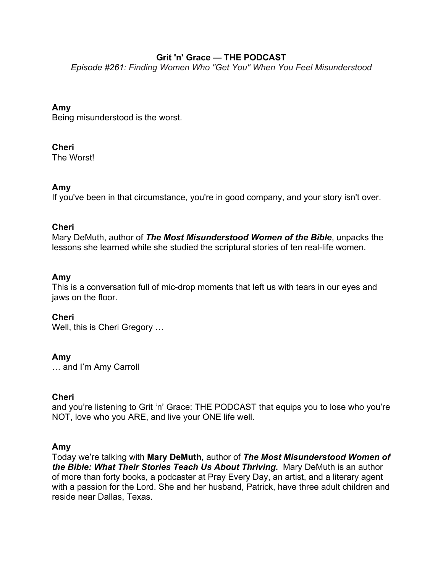# **Grit 'n' Grace — THE PODCAST**

*Episode #261: Finding Women Who "Get You" When You Feel Misunderstood*

# **Amy**

Being misunderstood is the worst.

# **Cheri**

The Worst!

# **Amy**

If you've been in that circumstance, you're in good company, and your story isn't over.

## **Cheri**

Mary DeMuth, author of *The Most Misunderstood Women of the Bible*, unpacks the lessons she learned while she studied the scriptural stories of ten real-life women.

## **Amy**

This is a conversation full of mic-drop moments that left us with tears in our eyes and jaws on the floor.

# **Cheri**

Well, this is Cheri Gregory …

## **Amy**

… and I'm Amy Carroll

## **Cheri**

and you're listening to Grit 'n' Grace: THE PODCAST that equips you to lose who you're NOT, love who you ARE, and live your ONE life well.

## **Amy**

Today we're talking with **Mary DeMuth,** author of *The Most Misunderstood Women of the Bible: What Their Stories Teach Us About Thriving.* Mary DeMuth is an author of more than forty books, a podcaster at Pray Every Day, an artist, and a literary agent with a passion for the Lord. She and her husband, Patrick, have three adult children and reside near Dallas, Texas.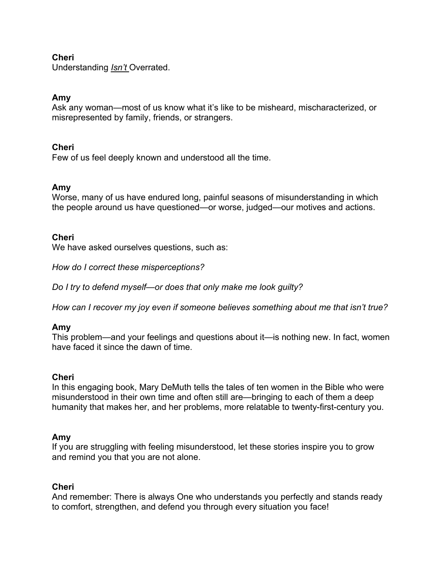## **Cheri**

Understanding *Isn't* Overrated.

### **Amy**

Ask any woman—most of us know what it's like to be misheard, mischaracterized, or misrepresented by family, friends, or strangers.

### **Cheri**

Few of us feel deeply known and understood all the time.

### **Amy**

Worse, many of us have endured long, painful seasons of misunderstanding in which the people around us have questioned—or worse, judged—our motives and actions.

### **Cheri**

We have asked ourselves questions, such as:

*How do I correct these misperceptions?*

*Do I try to defend myself—or does that only make me look guilty?*

*How can I recover my joy even if someone believes something about me that isn't true?*

#### **Amy**

This problem—and your feelings and questions about it—is nothing new. In fact, women have faced it since the dawn of time.

#### **Cheri**

In this engaging book, Mary DeMuth tells the tales of ten women in the Bible who were misunderstood in their own time and often still are—bringing to each of them a deep humanity that makes her, and her problems, more relatable to twenty-first-century you.

#### **Amy**

If you are struggling with feeling misunderstood, let these stories inspire you to grow and remind you that you are not alone.

#### **Cheri**

And remember: There is always One who understands you perfectly and stands ready to comfort, strengthen, and defend you through every situation you face!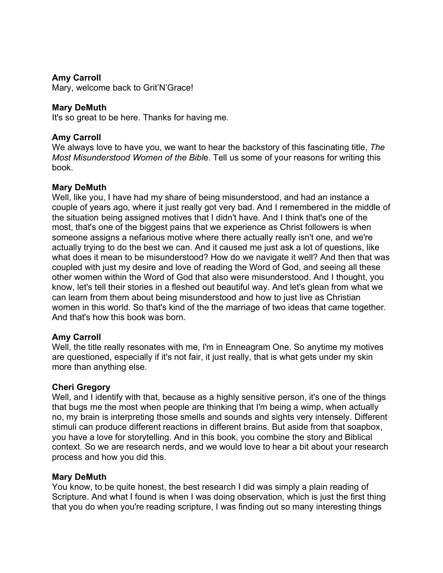### **Amy Carroll**

Mary, welcome back to Grit'N'Grace!

### **Mary DeMuth**

It's so great to be here. Thanks for having me.

### **Amy Carroll**

We always love to have you, we want to hear the backstory of this fascinating title, *The Most Misunderstood Women of the Bibl*e. Tell us some of your reasons for writing this book.

### **Mary DeMuth**

Well, like you, I have had my share of being misunderstood, and had an instance a couple of years ago, where it just really got very bad. And I remembered in the middle of the situation being assigned motives that I didn't have. And I think that's one of the most, that's one of the biggest pains that we experience as Christ followers is when someone assigns a nefarious motive where there actually really isn't one, and we're actually trying to do the best we can. And it caused me just ask a lot of questions, like what does it mean to be misunderstood? How do we navigate it well? And then that was coupled with just my desire and love of reading the Word of God, and seeing all these other women within the Word of God that also were misunderstood. And I thought, you know, let's tell their stories in a fleshed out beautiful way. And let's glean from what we can learn from them about being misunderstood and how to just live as Christian women in this world. So that's kind of the the marriage of two ideas that came together. And that's how this book was born.

#### **Amy Carroll**

Well, the title really resonates with me, I'm in Enneagram One. So anytime my motives are questioned, especially if it's not fair, it just really, that is what gets under my skin more than anything else.

#### **Cheri Gregory**

Well, and I identify with that, because as a highly sensitive person, it's one of the things that bugs me the most when people are thinking that I'm being a wimp, when actually no, my brain is interpreting those smells and sounds and sights very intensely. Different stimuli can produce different reactions in different brains. But aside from that soapbox, you have a love for storytelling. And in this book, you combine the story and Biblical context. So we are research nerds, and we would love to hear a bit about your research process and how you did this.

#### **Mary DeMuth**

You know, to be quite honest, the best research I did was simply a plain reading of Scripture. And what I found is when I was doing observation, which is just the first thing that you do when you're reading scripture, I was finding out so many interesting things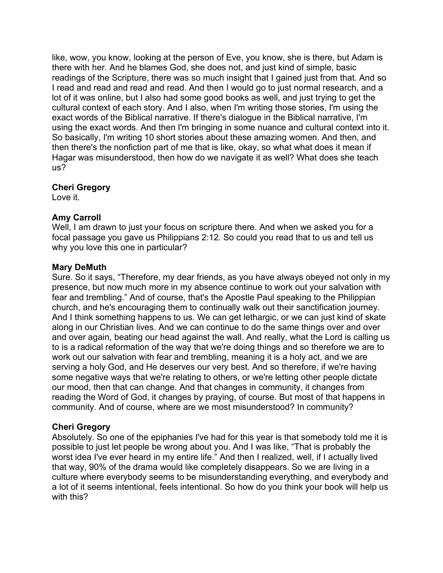like, wow, you know, looking at the person of Eve, you know, she is there, but Adam is there with her. And he blames God, she does not, and just kind of simple, basic readings of the Scripture, there was so much insight that I gained just from that. And so I read and read and read and read. And then I would go to just normal research, and a lot of it was online, but I also had some good books as well, and just trying to get the cultural context of each story. And I also, when I'm writing those stories, I'm using the exact words of the Biblical narrative. If there's dialogue in the Biblical narrative, I'm using the exact words. And then I'm bringing in some nuance and cultural context into it. So basically, I'm writing 10 short stories about these amazing women. And then, and then there's the nonfiction part of me that is like, okay, so what what does it mean if Hagar was misunderstood, then how do we navigate it as well? What does she teach us?

### **Cheri Gregory**

Love it.

### **Amy Carroll**

Well, I am drawn to just your focus on scripture there. And when we asked you for a focal passage you gave us Philippians 2:12. So could you read that to us and tell us why you love this one in particular?

#### **Mary DeMuth**

Sure. So it says, "Therefore, my dear friends, as you have always obeyed not only in my presence, but now much more in my absence continue to work out your salvation with fear and trembling." And of course, that's the Apostle Paul speaking to the Philippian church, and he's encouraging them to continually walk out their sanctification journey. And I think something happens to us. We can get lethargic, or we can just kind of skate along in our Christian lives. And we can continue to do the same things over and over and over again, beating our head against the wall. And really, what the Lord is calling us to is a radical reformation of the way that we're doing things and so therefore we are to work out our salvation with fear and trembling, meaning it is a holy act, and we are serving a holy God, and He deserves our very best. And so therefore, if we're having some negative ways that we're relating to others, or we're letting other people dictate our mood, then that can change. And that changes in community, it changes from reading the Word of God, it changes by praying, of course. But most of that happens in community. And of course, where are we most misunderstood? In community?

## **Cheri Gregory**

Absolutely. So one of the epiphanies I've had for this year is that somebody told me it is possible to just let people be wrong about you. And I was like, "That is probably the worst idea I've ever heard in my entire life." And then I realized, well, if I actually lived that way, 90% of the drama would like completely disappears. So we are living in a culture where everybody seems to be misunderstanding everything, and everybody and a lot of it seems intentional, feels intentional. So how do you think your book will help us with this?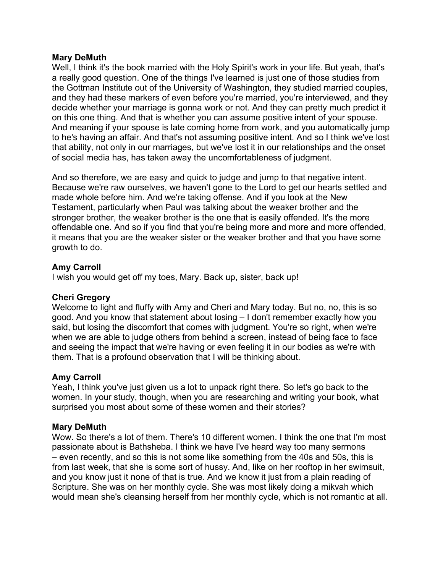### **Mary DeMuth**

Well, I think it's the book married with the Holy Spirit's work in your life. But yeah, that's a really good question. One of the things I've learned is just one of those studies from the Gottman Institute out of the University of Washington, they studied married couples, and they had these markers of even before you're married, you're interviewed, and they decide whether your marriage is gonna work or not. And they can pretty much predict it on this one thing. And that is whether you can assume positive intent of your spouse. And meaning if your spouse is late coming home from work, and you automatically jump to he's having an affair. And that's not assuming positive intent. And so I think we've lost that ability, not only in our marriages, but we've lost it in our relationships and the onset of social media has, has taken away the uncomfortableness of judgment.

And so therefore, we are easy and quick to judge and jump to that negative intent. Because we're raw ourselves, we haven't gone to the Lord to get our hearts settled and made whole before him. And we're taking offense. And if you look at the New Testament, particularly when Paul was talking about the weaker brother and the stronger brother, the weaker brother is the one that is easily offended. It's the more offendable one. And so if you find that you're being more and more and more offended, it means that you are the weaker sister or the weaker brother and that you have some growth to do.

# **Amy Carroll**

I wish you would get off my toes, Mary. Back up, sister, back up!

## **Cheri Gregory**

Welcome to light and fluffy with Amy and Cheri and Mary today. But no, no, this is so good. And you know that statement about losing – I don't remember exactly how you said, but losing the discomfort that comes with judgment. You're so right, when we're when we are able to judge others from behind a screen, instead of being face to face and seeing the impact that we're having or even feeling it in our bodies as we're with them. That is a profound observation that I will be thinking about.

## **Amy Carroll**

Yeah, I think you've just given us a lot to unpack right there. So let's go back to the women. In your study, though, when you are researching and writing your book, what surprised you most about some of these women and their stories?

# **Mary DeMuth**

Wow. So there's a lot of them. There's 10 different women. I think the one that I'm most passionate about is Bathsheba. I think we have I've heard way too many sermons – even recently, and so this is not some like something from the 40s and 50s, this is from last week, that she is some sort of hussy. And, like on her rooftop in her swimsuit, and you know just it none of that is true. And we know it just from a plain reading of Scripture. She was on her monthly cycle. She was most likely doing a mikvah which would mean she's cleansing herself from her monthly cycle, which is not romantic at all.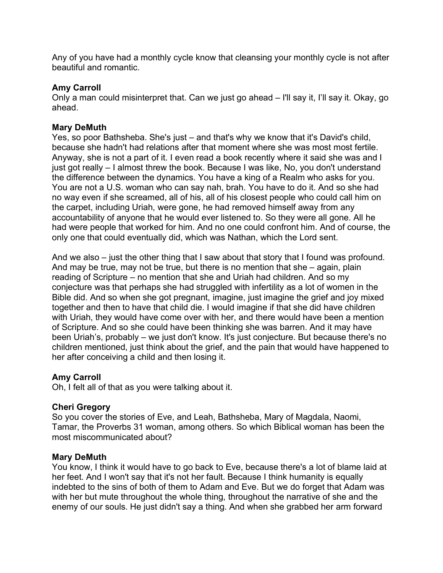Any of you have had a monthly cycle know that cleansing your monthly cycle is not after beautiful and romantic.

## **Amy Carroll**

Only a man could misinterpret that. Can we just go ahead – I'll say it, I'll say it. Okay, go ahead.

# **Mary DeMuth**

Yes, so poor Bathsheba. She's just – and that's why we know that it's David's child, because she hadn't had relations after that moment where she was most most fertile. Anyway, she is not a part of it. I even read a book recently where it said she was and I just got really – I almost threw the book. Because I was like, No, you don't understand the difference between the dynamics. You have a king of a Realm who asks for you. You are not a U.S. woman who can say nah, brah. You have to do it. And so she had no way even if she screamed, all of his, all of his closest people who could call him on the carpet, including Uriah, were gone, he had removed himself away from any accountability of anyone that he would ever listened to. So they were all gone. All he had were people that worked for him. And no one could confront him. And of course, the only one that could eventually did, which was Nathan, which the Lord sent.

And we also – just the other thing that I saw about that story that I found was profound. And may be true, may not be true, but there is no mention that she – again, plain reading of Scripture – no mention that she and Uriah had children. And so my conjecture was that perhaps she had struggled with infertility as a lot of women in the Bible did. And so when she got pregnant, imagine, just imagine the grief and joy mixed together and then to have that child die. I would imagine if that she did have children with Uriah, they would have come over with her, and there would have been a mention of Scripture. And so she could have been thinking she was barren. And it may have been Uriah's, probably – we just don't know. It's just conjecture. But because there's no children mentioned, just think about the grief, and the pain that would have happened to her after conceiving a child and then losing it.

# **Amy Carroll**

Oh, I felt all of that as you were talking about it.

## **Cheri Gregory**

So you cover the stories of Eve, and Leah, Bathsheba, Mary of Magdala, Naomi, Tamar, the Proverbs 31 woman, among others. So which Biblical woman has been the most miscommunicated about?

## **Mary DeMuth**

You know, I think it would have to go back to Eve, because there's a lot of blame laid at her feet. And I won't say that it's not her fault. Because I think humanity is equally indebted to the sins of both of them to Adam and Eve. But we do forget that Adam was with her but mute throughout the whole thing, throughout the narrative of she and the enemy of our souls. He just didn't say a thing. And when she grabbed her arm forward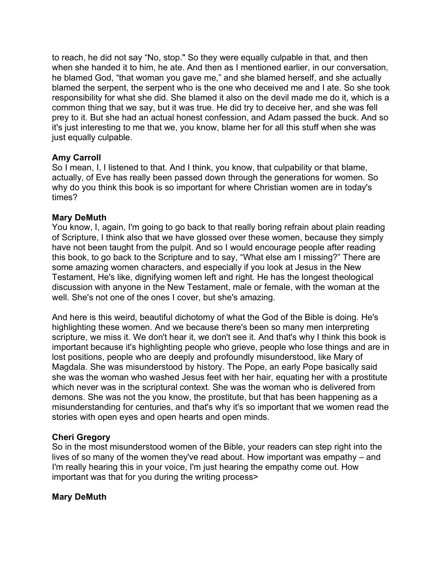to reach, he did not say "No, stop." So they were equally culpable in that, and then when she handed it to him, he ate. And then as I mentioned earlier, in our conversation, he blamed God, "that woman you gave me," and she blamed herself, and she actually blamed the serpent, the serpent who is the one who deceived me and I ate. So she took responsibility for what she did. She blamed it also on the devil made me do it, which is a common thing that we say, but it was true. He did try to deceive her, and she was fell prey to it. But she had an actual honest confession, and Adam passed the buck. And so it's just interesting to me that we, you know, blame her for all this stuff when she was just equally culpable.

## **Amy Carroll**

So I mean, I, I listened to that. And I think, you know, that culpability or that blame, actually, of Eve has really been passed down through the generations for women. So why do you think this book is so important for where Christian women are in today's times?

## **Mary DeMuth**

You know, I, again, I'm going to go back to that really boring refrain about plain reading of Scripture, I think also that we have glossed over these women, because they simply have not been taught from the pulpit. And so I would encourage people after reading this book, to go back to the Scripture and to say, "What else am I missing?" There are some amazing women characters, and especially if you look at Jesus in the New Testament, He's like, dignifying women left and right. He has the longest theological discussion with anyone in the New Testament, male or female, with the woman at the well. She's not one of the ones I cover, but she's amazing.

And here is this weird, beautiful dichotomy of what the God of the Bible is doing. He's highlighting these women. And we because there's been so many men interpreting scripture, we miss it. We don't hear it, we don't see it. And that's why I think this book is important because it's highlighting people who grieve, people who lose things and are in lost positions, people who are deeply and profoundly misunderstood, like Mary of Magdala. She was misunderstood by history. The Pope, an early Pope basically said she was the woman who washed Jesus feet with her hair, equating her with a prostitute which never was in the scriptural context. She was the woman who is delivered from demons. She was not the you know, the prostitute, but that has been happening as a misunderstanding for centuries, and that's why it's so important that we women read the stories with open eyes and open hearts and open minds.

## **Cheri Gregory**

So in the most misunderstood women of the Bible, your readers can step right into the lives of so many of the women they've read about. How important was empathy – and I'm really hearing this in your voice, I'm just hearing the empathy come out. How important was that for you during the writing process>

# **Mary DeMuth**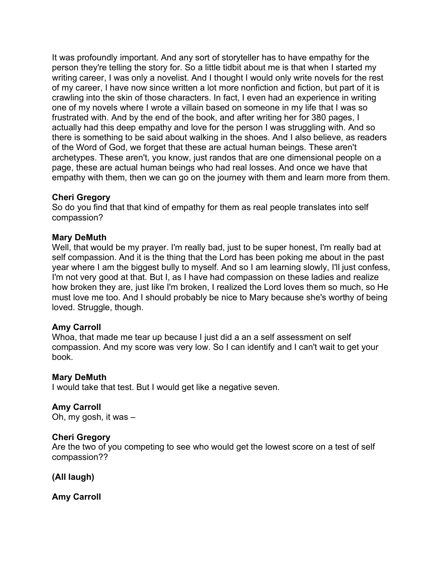It was profoundly important. And any sort of storyteller has to have empathy for the person they're telling the story for. So a little tidbit about me is that when I started my writing career, I was only a novelist. And I thought I would only write novels for the rest of my career, I have now since written a lot more nonfiction and fiction, but part of it is crawling into the skin of those characters. In fact, I even had an experience in writing one of my novels where I wrote a villain based on someone in my life that I was so frustrated with. And by the end of the book, and after writing her for 380 pages, I actually had this deep empathy and love for the person I was struggling with. And so there is something to be said about walking in the shoes. And I also believe, as readers of the Word of God, we forget that these are actual human beings. These aren't archetypes. These aren't, you know, just randos that are one dimensional people on a page, these are actual human beings who had real losses. And once we have that empathy with them, then we can go on the journey with them and learn more from them.

## **Cheri Gregory**

So do you find that that kind of empathy for them as real people translates into self compassion?

## **Mary DeMuth**

Well, that would be my prayer. I'm really bad, just to be super honest, I'm really bad at self compassion. And it is the thing that the Lord has been poking me about in the past year where I am the biggest bully to myself. And so I am learning slowly, I'll just confess, I'm not very good at that. But I, as I have had compassion on these ladies and realize how broken they are, just like I'm broken, I realized the Lord loves them so much, so He must love me too. And I should probably be nice to Mary because she's worthy of being loved. Struggle, though.

## **Amy Carroll**

Whoa, that made me tear up because I just did a an a self assessment on self compassion. And my score was very low. So I can identify and I can't wait to get your book.

## **Mary DeMuth**

I would take that test. But I would get like a negative seven.

**Amy Carroll**  Oh, my gosh, it was –

## **Cheri Gregory**

Are the two of you competing to see who would get the lowest score on a test of self compassion??

**(All laugh)**

**Amy Carroll**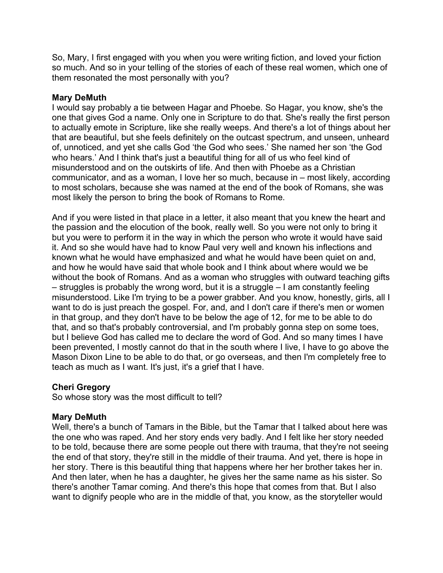So, Mary, I first engaged with you when you were writing fiction, and loved your fiction so much. And so in your telling of the stories of each of these real women, which one of them resonated the most personally with you?

### **Mary DeMuth**

I would say probably a tie between Hagar and Phoebe. So Hagar, you know, she's the one that gives God a name. Only one in Scripture to do that. She's really the first person to actually emote in Scripture, like she really weeps. And there's a lot of things about her that are beautiful, but she feels definitely on the outcast spectrum, and unseen, unheard of, unnoticed, and yet she calls God 'the God who sees.' She named her son 'the God who hears.' And I think that's just a beautiful thing for all of us who feel kind of misunderstood and on the outskirts of life. And then with Phoebe as a Christian communicator, and as a woman, I love her so much, because in – most likely, according to most scholars, because she was named at the end of the book of Romans, she was most likely the person to bring the book of Romans to Rome.

And if you were listed in that place in a letter, it also meant that you knew the heart and the passion and the elocution of the book, really well. So you were not only to bring it but you were to perform it in the way in which the person who wrote it would have said it. And so she would have had to know Paul very well and known his inflections and known what he would have emphasized and what he would have been quiet on and, and how he would have said that whole book and I think about where would we be without the book of Romans. And as a woman who struggles with outward teaching gifts – struggles is probably the wrong word, but it is a struggle – I am constantly feeling misunderstood. Like I'm trying to be a power grabber. And you know, honestly, girls, all I want to do is just preach the gospel. For, and, and I don't care if there's men or women in that group, and they don't have to be below the age of 12, for me to be able to do that, and so that's probably controversial, and I'm probably gonna step on some toes, but I believe God has called me to declare the word of God. And so many times I have been prevented, I mostly cannot do that in the south where I live, I have to go above the Mason Dixon Line to be able to do that, or go overseas, and then I'm completely free to teach as much as I want. It's just, it's a grief that I have.

## **Cheri Gregory**

So whose story was the most difficult to tell?

## **Mary DeMuth**

Well, there's a bunch of Tamars in the Bible, but the Tamar that I talked about here was the one who was raped. And her story ends very badly. And I felt like her story needed to be told, because there are some people out there with trauma, that they're not seeing the end of that story, they're still in the middle of their trauma. And yet, there is hope in her story. There is this beautiful thing that happens where her her brother takes her in. And then later, when he has a daughter, he gives her the same name as his sister. So there's another Tamar coming. And there's this hope that comes from that. But I also want to dignify people who are in the middle of that, you know, as the storyteller would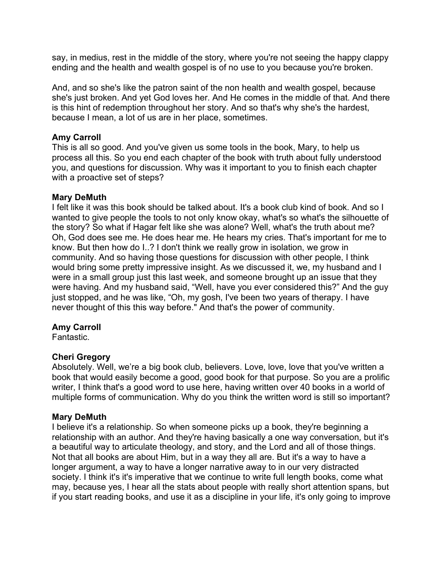say, in medius, rest in the middle of the story, where you're not seeing the happy clappy ending and the health and wealth gospel is of no use to you because you're broken.

And, and so she's like the patron saint of the non health and wealth gospel, because she's just broken. And yet God loves her. And He comes in the middle of that. And there is this hint of redemption throughout her story. And so that's why she's the hardest, because I mean, a lot of us are in her place, sometimes.

### **Amy Carroll**

This is all so good. And you've given us some tools in the book, Mary, to help us process all this. So you end each chapter of the book with truth about fully understood you, and questions for discussion. Why was it important to you to finish each chapter with a proactive set of steps?

#### **Mary DeMuth**

I felt like it was this book should be talked about. It's a book club kind of book. And so I wanted to give people the tools to not only know okay, what's so what's the silhouette of the story? So what if Hagar felt like she was alone? Well, what's the truth about me? Oh, God does see me. He does hear me. He hears my cries. That's important for me to know. But then how do I..? I don't think we really grow in isolation, we grow in community. And so having those questions for discussion with other people, I think would bring some pretty impressive insight. As we discussed it, we, my husband and I were in a small group just this last week, and someone brought up an issue that they were having. And my husband said, "Well, have you ever considered this?" And the guy just stopped, and he was like, "Oh, my gosh, I've been two years of therapy. I have never thought of this this way before." And that's the power of community.

## **Amy Carroll**

Fantastic.

## **Cheri Gregory**

Absolutely. Well, we're a big book club, believers. Love, love, love that you've written a book that would easily become a good, good book for that purpose. So you are a prolific writer, I think that's a good word to use here, having written over 40 books in a world of multiple forms of communication. Why do you think the written word is still so important?

#### **Mary DeMuth**

I believe it's a relationship. So when someone picks up a book, they're beginning a relationship with an author. And they're having basically a one way conversation, but it's a beautiful way to articulate theology, and story, and the Lord and all of those things. Not that all books are about Him, but in a way they all are. But it's a way to have a longer argument, a way to have a longer narrative away to in our very distracted society. I think it's it's imperative that we continue to write full length books, come what may, because yes, I hear all the stats about people with really short attention spans, but if you start reading books, and use it as a discipline in your life, it's only going to improve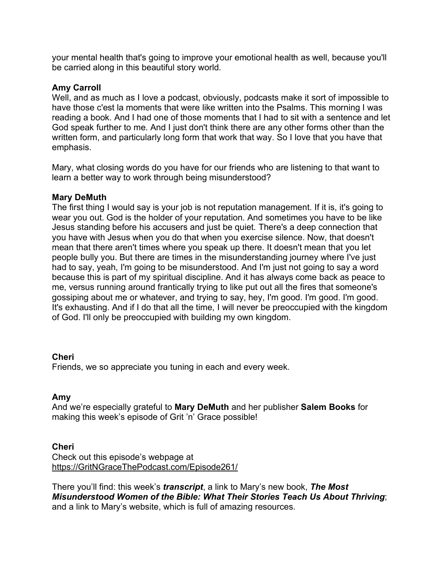your mental health that's going to improve your emotional health as well, because you'll be carried along in this beautiful story world.

## **Amy Carroll**

Well, and as much as I love a podcast, obviously, podcasts make it sort of impossible to have those c'est la moments that were like written into the Psalms. This morning I was reading a book. And I had one of those moments that I had to sit with a sentence and let God speak further to me. And I just don't think there are any other forms other than the written form, and particularly long form that work that way. So I love that you have that emphasis.

Mary, what closing words do you have for our friends who are listening to that want to learn a better way to work through being misunderstood?

## **Mary DeMuth**

The first thing I would say is your job is not reputation management. If it is, it's going to wear you out. God is the holder of your reputation. And sometimes you have to be like Jesus standing before his accusers and just be quiet. There's a deep connection that you have with Jesus when you do that when you exercise silence. Now, that doesn't mean that there aren't times where you speak up there. It doesn't mean that you let people bully you. But there are times in the misunderstanding journey where I've just had to say, yeah, I'm going to be misunderstood. And I'm just not going to say a word because this is part of my spiritual discipline. And it has always come back as peace to me, versus running around frantically trying to like put out all the fires that someone's gossiping about me or whatever, and trying to say, hey, I'm good. I'm good. I'm good. It's exhausting. And if I do that all the time, I will never be preoccupied with the kingdom of God. I'll only be preoccupied with building my own kingdom.

## **Cheri**

Friends, we so appreciate you tuning in each and every week.

## **Amy**

And we're especially grateful to **Mary DeMuth** and her publisher **Salem Books** for making this week's episode of Grit 'n' Grace possible!

## **Cheri**

Check out this episode's webpage at https://GritNGraceThePodcast.com/Episode261/

There you'll find: this week's *transcript*, a link to Mary's new book, *The Most Misunderstood Women of the Bible: What Their Stories Teach Us About Thriving*; and a link to Mary's website, which is full of amazing resources.